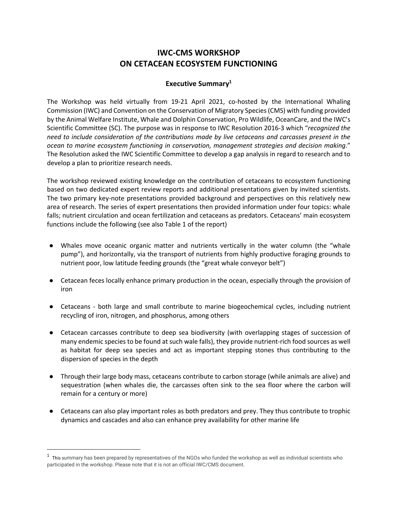## **IWC-CMS WORKSHOP ON CETACEAN ECOSYSTEM FUNCTIONING**

## **Executive Summary1**

The Workshop was held virtually from 19-21 April 2021, co-hosted by the International Whaling Commission (IWC) and Convention on the Conservation of Migratory Species (CMS) with funding provided by the Animal Welfare Institute, Whale and Dolphin Conservation, Pro Wildlife, OceanCare, and the IWC's Scientific Committee (SC). The purpose was in response to IWC Resolution 2016-3 which "*recognized the need to include consideration of the contributions made by live cetaceans and carcasses present in the ocean to marine ecosystem functioning in conservation, management strategies and decision making*." The Resolution asked the IWC Scientific Committee to develop a gap analysis in regard to research and to develop a plan to prioritize research needs.

The workshop reviewed existing knowledge on the contribution of cetaceans to ecosystem functioning based on two dedicated expert review reports and additional presentations given by invited scientists. The two primary key-note presentations provided background and perspectives on this relatively new area of research. The series of expert presentations then provided information under four topics: whale falls; nutrient circulation and ocean fertilization and cetaceans as predators. Cetaceans' main ecosystem functions include the following (see also Table 1 of the report)

- Whales move oceanic organic matter and nutrients vertically in the water column (the "whale pump"), and horizontally, via the transport of nutrients from highly productive foraging grounds to nutrient poor, low latitude feeding grounds (the "great whale conveyor belt")
- Cetacean feces locally enhance primary production in the ocean, especially through the provision of iron
- Cetaceans both large and small contribute to marine biogeochemical cycles, including nutrient recycling of iron, nitrogen, and phosphorus, among others
- Cetacean carcasses contribute to deep sea biodiversity (with overlapping stages of succession of many endemic species to be found at such wale falls), they provide nutrient-rich food sources as well as habitat for deep sea species and act as important stepping stones thus contributing to the dispersion of species in the depth
- Through their large body mass, cetaceans contribute to carbon storage (while animals are alive) and sequestration (when whales die, the carcasses often sink to the sea floor where the carbon will remain for a century or more)
- Cetaceans can also play important roles as both predators and prey. They thus contribute to trophic dynamics and cascades and also can enhance prey availability for other marine life

 $^{\rm 1}$  This summary has been prepared by representatives of the NGOs who funded the workshop as well as individual scientists who participated in the workshop. Please note that it is not an official IWC/CMS document.